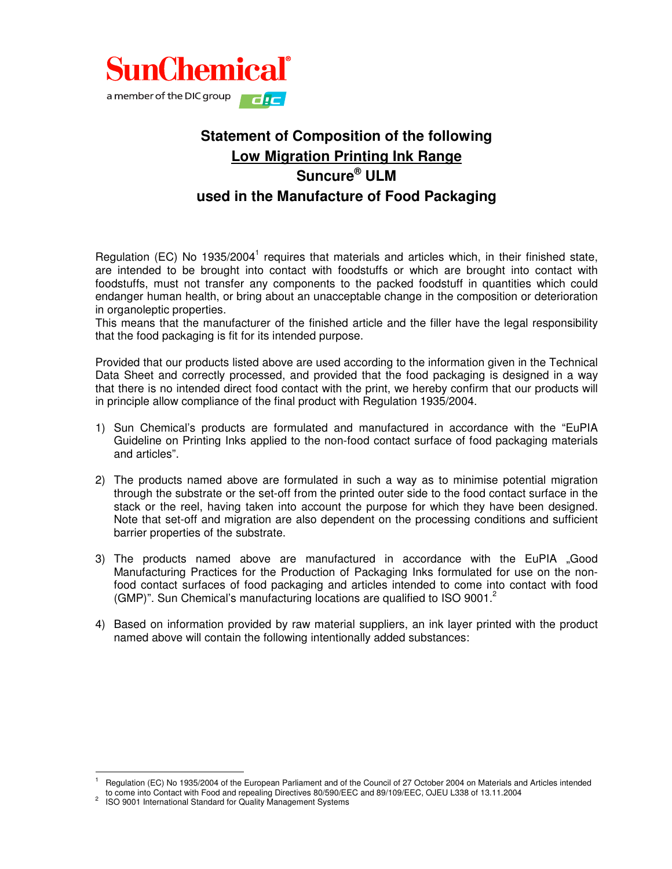

## **Statement of Composition of the following Low Migration Printing Ink Range Suncure ® ULM used in the Manufacture of Food Packaging**

Regulation (EC) No 1935/2004<sup>1</sup> requires that materials and articles which, in their finished state, are intended to be brought into contact with foodstuffs or which are brought into contact with foodstuffs, must not transfer any components to the packed foodstuff in quantities which could endanger human health, or bring about an unacceptable change in the composition or deterioration in organoleptic properties.

This means that the manufacturer of the finished article and the filler have the legal responsibility that the food packaging is fit for its intended purpose.

Provided that our products listed above are used according to the information given in the Technical Data Sheet and correctly processed, and provided that the food packaging is designed in a way that there is no intended direct food contact with the print, we hereby confirm that our products will in principle allow compliance of the final product with Regulation 1935/2004.

- 1) Sun Chemical's products are formulated and manufactured in accordance with the "EuPIA Guideline on Printing Inks applied to the non-food contact surface of food packaging materials and articles".
- 2) The products named above are formulated in such a way as to minimise potential migration through the substrate or the set-off from the printed outer side to the food contact surface in the stack or the reel, having taken into account the purpose for which they have been designed. Note that set-off and migration are also dependent on the processing conditions and sufficient barrier properties of the substrate.
- 3) The products named above are manufactured in accordance with the EuPIA "Good Manufacturing Practices for the Production of Packaging Inks formulated for use on the nonfood contact surfaces of food packaging and articles intended to come into contact with food (GMP)". Sun Chemical's manufacturing locations are qualified to ISO 9001.<sup>2</sup>
- 4) Based on information provided by raw material suppliers, an ink layer printed with the product named above will contain the following intentionally added substances:

t

<sup>1</sup> Regulation (EC) No 1935/2004 of the European Parliament and of the Council of 27 October 2004 on Materials and Articles intended to come into Contact with Food and repealing Directives 80/590/EEC and 89/109/EEC, OJEU L338 of 13.11.2004

<sup>2</sup> ISO 9001 International Standard for Quality Management Systems